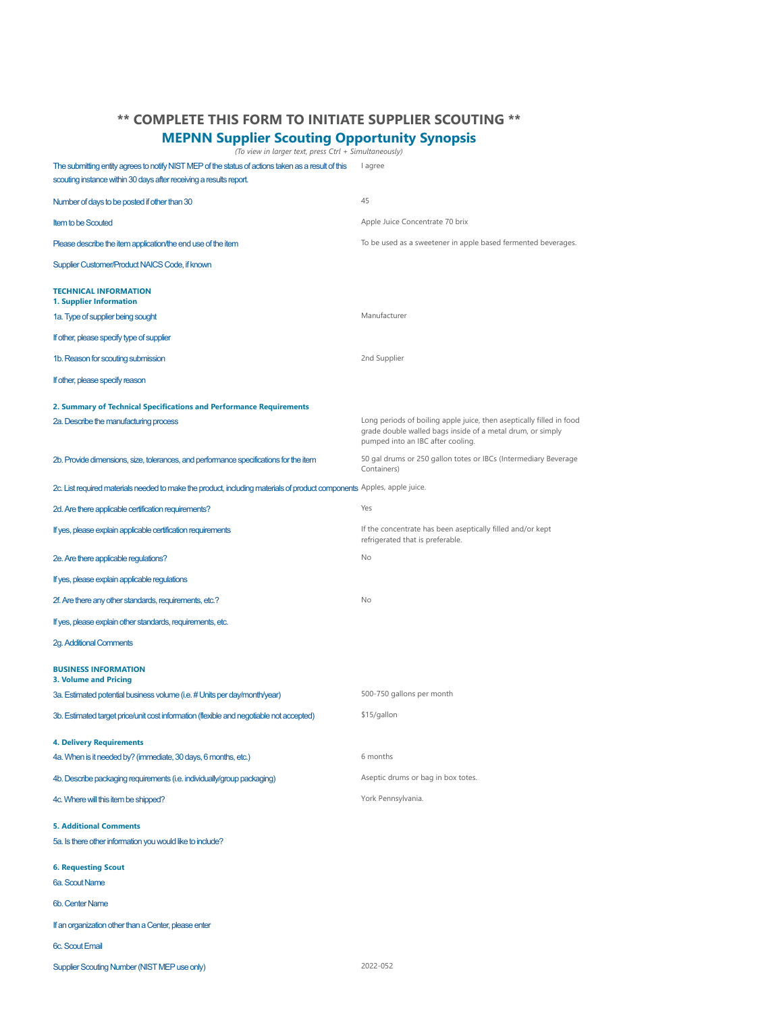## **\*\* COMPLETE THIS FORM TO INITIATE SUPPLIER SCOUTING \*\***

#### **MEPNN Supplier Scouting Opportunity Synopsis**

*(To view in larger text, press Ctrl + Simultaneously)*

The submitting entity agrees to notify NIST MEP of the status of actions taken as a result of this lagree scouting instance within 30 days after receiving a results report.

| Number of days to be posted if other than 30                                                                           | 45                                                                                                                                                                      |
|------------------------------------------------------------------------------------------------------------------------|-------------------------------------------------------------------------------------------------------------------------------------------------------------------------|
| <b>Item to be Scouted</b>                                                                                              | Apple Juice Concentrate 70 brix                                                                                                                                         |
| Please describe the item application/the end use of the item                                                           | To be used as a sweetener in apple based fermented beverages.                                                                                                           |
| Supplier Customer/Product NAICS Code, if known                                                                         |                                                                                                                                                                         |
| <b>TECHNICAL INFORMATION</b><br>1. Supplier Information                                                                |                                                                                                                                                                         |
| 1a. Type of supplier being sought                                                                                      | Manufacturer                                                                                                                                                            |
| If other, please specify type of supplier                                                                              |                                                                                                                                                                         |
| 1b. Reason for scouting submission                                                                                     | 2nd Supplier                                                                                                                                                            |
| If other, please specify reason                                                                                        |                                                                                                                                                                         |
| 2. Summary of Technical Specifications and Performance Requirements                                                    |                                                                                                                                                                         |
| 2a. Describe the manufacturing process                                                                                 | Long periods of boiling apple juice, then aseptically filled in food<br>grade double walled bags inside of a metal drum, or simply<br>pumped into an IBC after cooling. |
| 2b. Provide dimensions, size, tolerances, and performance specifications for the item                                  | 50 gal drums or 250 gallon totes or IBCs (Intermediary Beverage<br>Containers)                                                                                          |
| 2c. List required materials needed to make the product, including materials of product components Apples, apple juice. |                                                                                                                                                                         |
| 2d. Are there applicable certification requirements?                                                                   | Yes                                                                                                                                                                     |
| If yes, please explain applicable certification requirements                                                           | If the concentrate has been aseptically filled and/or kept<br>refrigerated that is preferable.                                                                          |
| 2e. Are there applicable regulations?                                                                                  | No                                                                                                                                                                      |
| If yes, please explain applicable regulations                                                                          |                                                                                                                                                                         |
| 2f. Are there any other standards, requirements, etc.?                                                                 | No                                                                                                                                                                      |
| If yes, please explain other standards, requirements, etc.                                                             |                                                                                                                                                                         |
| <b>2g. Additional Comments</b>                                                                                         |                                                                                                                                                                         |
| <b>BUSINESS INFORMATION</b>                                                                                            |                                                                                                                                                                         |
| <b>3. Volume and Pricing</b><br>3a. Estimated potential business volume (i.e. # Units per day/month/year)              | 500-750 gallons per month                                                                                                                                               |
| 3b. Estimated target price/unit cost information (flexible and negotiable not accepted)                                | \$15/gallon                                                                                                                                                             |
| <b>4. Delivery Requirements</b>                                                                                        |                                                                                                                                                                         |
| 4a. When is it needed by? (immediate, 30 days, 6 months, etc.)                                                         | 6 months                                                                                                                                                                |
| 4b. Describe packaging requirements (i.e. individually/group packaging)                                                | Aseptic drums or bag in box totes.                                                                                                                                      |
| 4c. Where will this item be shipped?                                                                                   | York Pennsylvania.                                                                                                                                                      |
| <b>5. Additional Comments</b>                                                                                          |                                                                                                                                                                         |
| 5a. Is there other information you would like to include?                                                              |                                                                                                                                                                         |
| <b>6. Requesting Scout</b><br>6a. Scout Name                                                                           |                                                                                                                                                                         |
| 6b. Center Name                                                                                                        |                                                                                                                                                                         |
| If an organization other than a Center, please enter                                                                   |                                                                                                                                                                         |
| 6c. Scout Email                                                                                                        |                                                                                                                                                                         |
| Supplier Scouting Number (NIST MEP use only)                                                                           | 2022-052                                                                                                                                                                |